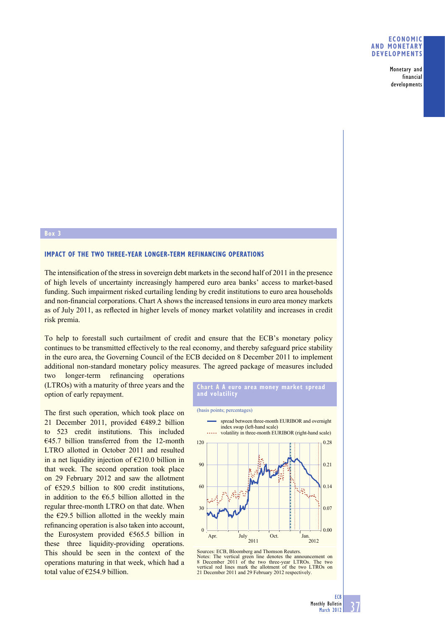## **ECONOMIC AND MONETARY DEVELOPMENTS**

Monetary and financial developments

#### **Box 3**

### **IMPACT OF THE TWO THREE-YEAR LONGER-TERM REFINANCING OPERATIONS**

The intensification of the stress in sovereign debt markets in the second half of 2011 in the presence of high levels of uncertainty increasingly hampered euro area banks' access to market-based funding. Such impairment risked curtailing lending by credit institutions to euro area households and non-financial corporations. Chart A shows the increased tensions in euro area money markets as of July 2011, as reflected in higher levels of money market volatility and increases in credit risk premia.

To help to forestall such curtailment of credit and ensure that the ECB's monetary policy continues to be transmitted effectively to the real economy, and thereby safeguard price stability in the euro area, the Governing Council of the ECB decided on 8 December 2011 to implement additional non-standard monetary policy measures. The agreed package of measures included

two longer-term refinancing operations (LTROs) with a maturity of three years and the option of early repayment.

The first such operation, which took place on 21 December 2011, provided €489.2 billion to 523 credit institutions. This included  $€45.7$  billion transferred from the 12-month LTRO allotted in October 2011 and resulted in a net liquidity injection of  $E$ 210.0 billion in that week. The second operation took place on 29 February 2012 and saw the allotment of €529.5 billion to 800 credit institutions, in addition to the  $\epsilon$ 6.5 billion allotted in the regular three-month LTRO on that date. When the  $\epsilon$ 29.5 billion allotted in the weekly main refinancing operation is also taken into account, the Eurosystem provided €565.5 billion in these three liquidity-providing operations. This should be seen in the context of the operations maturing in that week, which had a total value of  $\epsilon$ 254.9 billion.



Notes: The vertical green line denotes the announcement on 8 December 2011 of the two three-year LTROs. The two vertical red lines mark the allotment of the two LTROs on 21 December 2011 and 29 February 2012 respectively.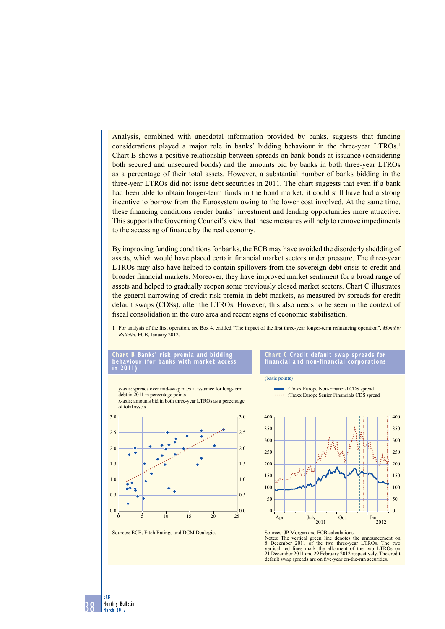Analysis, combined with anecdotal information provided by banks, suggests that funding considerations played a major role in banks' bidding behaviour in the three-year LTROs.<sup>1</sup> Chart B shows a positive relationship between spreads on bank bonds at issuance (considering both secured and unsecured bonds) and the amounts bid by banks in both three-year LTROs as a percentage of their total assets. However, a substantial number of banks bidding in the three-year LTROs did not issue debt securities in 2011. The chart suggests that even if a bank had been able to obtain longer-term funds in the bond market, it could still have had a strong incentive to borrow from the Eurosystem owing to the lower cost involved. At the same time, these financing conditions render banks' investment and lending opportunities more attractive. This supports the Governing Council's view that these measures will help to remove impediments to the accessing of finance by the real economy.

By improving funding conditions for banks, the ECB may have avoided the disorderly shedding of assets, which would have placed certain financial market sectors under pressure. The three-year LTROs may also have helped to contain spillovers from the sovereign debt crisis to credit and broader financial markets. Moreover, they have improved market sentiment for a broad range of assets and helped to gradually reopen some previously closed market sectors. Chart C illustrates the general narrowing of credit risk premia in debt markets, as measured by spreads for credit default swaps (CDSs), after the LTROs. However, this also needs to be seen in the context of fiscal consolidation in the euro area and recent signs of economic stabilisation.

1 For analysis of the first operation, see Box 4, entitled "The impact of the first three-year longer-term refinancing operation", *Monthly Bulletin*, ECB, January 2012.

#### **Chart B Banks' risk premia and bidding behaviour (for banks with market access in 2011)**





Sources: ECB, Fitch Ratings and DCM Dealogic.

**Chart C Credit default swap spreads for financial and non-financial corporations**

iTraxx Europe Non-Financial CDS spread **iTraxx Europe Senior Financials CDS spread** 

(basis points)



Sources: JP Morgan and ECB calculations. Notes: The vertical green line denotes the announcement on 8 December 2011 of the two three-year LTROs. The two vertical red lines mark the allotment of the two LTROs on 21 December 2011 and 29 February 2012 respectively. The credit default swap spreads are on five-year on-the-run securities.

38 ECB Monthly Bulletin March 2012